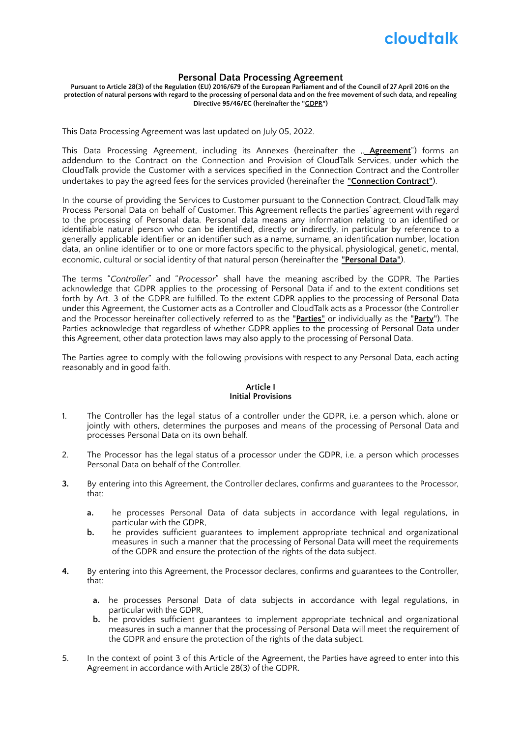

#### **Personal Data Processing Agreement**

Pursuant to Article 28(3) of the Regulation (EU) 2016/679 of the European Parliament and of the Council of 27 April 2016 on the protection of natural persons with regard to the processing of personal data and on the free movement of such data, and repealing **Directive 95/46/EC (hereinafter the "GDPR")**

This Data Processing Agreement was last updated on July 05, 2022.

This Data Processing Agreement, including its Annexes (hereinafter the "**Agreement**") forms an addendum to the Contract on the Connection and Provision of CloudTalk Services, under which the CloudTalk provide the Customer with a services specified in the Connection Contract and the Controller undertakes to pay the agreed fees for the services provided (hereinafter the "**Connection Contract**").

In the course of providing the Services to Customer pursuant to the Connection Contract, CloudTalk may Process Personal Data on behalf of Customer. This Agreement reflects the parties' agreement with regard to the processing of Personal data. Personal data means any information relating to an identified or identifiable natural person who can be identified, directly or indirectly, in particular by reference to a generally applicable identifier or an identifier such as a name, surname, an identification number, location data, an online identifier or to one or more factors specific to the physical, physiological, genetic, mental, economic, cultural or social identity of that natural person (hereinafter the "**Personal Data**").

The terms "*Controller*" and "*Processor*" shall have the meaning ascribed by the GDPR. The Parties acknowledge that GDPR applies to the processing of Personal Data if and to the extent conditions set forth by Art. 3 of the GDPR are fulfilled. To the extent GDPR applies to the processing of Personal Data under this Agreement, the Customer acts as a Controller and CloudTalk acts as a Processor (the Controller and the Processor hereinafter collectively referred to as the "**Parties**" or individually as the "**Party**"). The Parties acknowledge that regardless of whether GDPR applies to the processing of Personal Data under this Agreement, other data protection laws may also apply to the processing of Personal Data.

The Parties agree to comply with the following provisions with respect to any Personal Data, each acting reasonably and in good faith.

### **Article I Initial Provisions**

- 1. The Controller has the legal status of a controller under the GDPR, i.e. a person which, alone or jointly with others, determines the purposes and means of the processing of Personal Data and processes Personal Data on its own behalf.
- 2. The Processor has the legal status of a processor under the GDPR, i.e. a person which processes Personal Data on behalf of the Controller.
- **3.** By entering into this Agreement, the Controller declares, confirms and guarantees to the Processor, that:
	- **a.** he processes Personal Data of data subjects in accordance with legal regulations, in particular with the GDPR,
	- **b.** he provides sufficient guarantees to implement appropriate technical and organizational measures in such a manner that the processing of Personal Data will meet the requirements of the GDPR and ensure the protection of the rights of the data subject.
- **4.** By entering into this Agreement, the Processor declares, confirms and guarantees to the Controller, that:
	- **a.** he processes Personal Data of data subjects in accordance with legal regulations, in particular with the GDPR,
	- **b.** he provides sufficient guarantees to implement appropriate technical and organizational measures in such a manner that the processing of Personal Data will meet the requirement of the GDPR and ensure the protection of the rights of the data subject.
- 5. In the context of point 3 of this Article of the Agreement, the Parties have agreed to enter into this Agreement in accordance with Article 28(3) of the GDPR.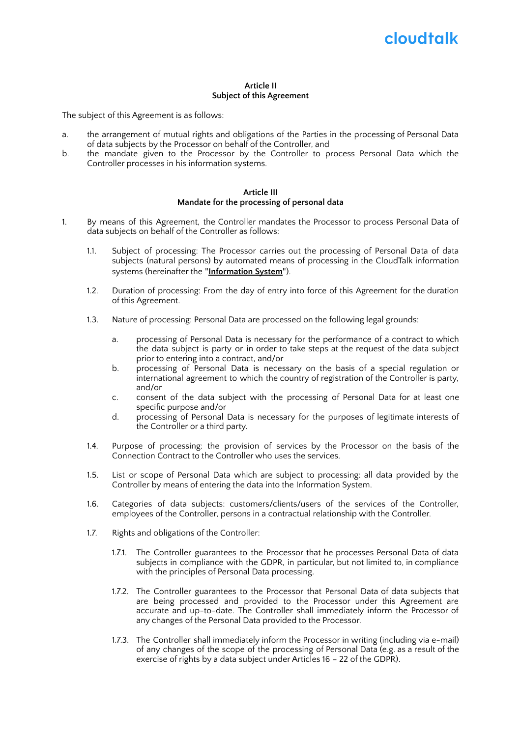# cloudtalk

#### **Article II Subject of this Agreement**

The subject of this Agreement is as follows:

- a. the arrangement of mutual rights and obligations of the Parties in the processing of Personal Data of data subjects by the Processor on behalf of the Controller, and
- b. the mandate given to the Processor by the Controller to process Personal Data which the Controller processes in his information systems.

#### **Article III Mandate for the processing of personal data**

- 1. By means of this Agreement, the Controller mandates the Processor to process Personal Data of data subjects on behalf of the Controller as follows:
	- 1.1. Subject of processing: The Processor carries out the processing of Personal Data of data subjects (natural persons) by automated means of processing in the CloudTalk information systems (hereinafter the "**Information System**").
	- 1.2. Duration of processing: From the day of entry into force of this Agreement for the duration of this Agreement.
	- 1.3. Nature of processing: Personal Data are processed on the following legal grounds:
		- a. processing of Personal Data is necessary for the performance of a contract to which the data subject is party or in order to take steps at the request of the data subject prior to entering into a contract, and/or
		- b. processing of Personal Data is necessary on the basis of a special regulation or international agreement to which the country of registration of the Controller is party, and/or
		- c. consent of the data subject with the processing of Personal Data for at least one specific purpose and/or
		- d. processing of Personal Data is necessary for the purposes of legitimate interests of the Controller or a third party.
	- 1.4. Purpose of processing: the provision of services by the Processor on the basis of the Connection Contract to the Controller who uses the services.
	- 1.5. List or scope of Personal Data which are subject to processing: all data provided by the Controller by means of entering the data into the Information System.
	- 1.6. Categories of data subjects: customers/clients/users of the services of the Controller, employees of the Controller, persons in a contractual relationship with the Controller.
	- 1.7. Rights and obligations of the Controller:
		- 1.7.1. The Controller guarantees to the Processor that he processes Personal Data of data subjects in compliance with the GDPR, in particular, but not limited to, in compliance with the principles of Personal Data processing.
		- 1.7.2. The Controller guarantees to the Processor that Personal Data of data subjects that are being processed and provided to the Processor under this Agreement are accurate and up-to-date. The Controller shall immediately inform the Processor of any changes of the Personal Data provided to the Processor.
		- 1.7.3. The Controller shall immediately inform the Processor in writing (including via e-mail) of any changes of the scope of the processing of Personal Data (e.g. as a result of the exercise of rights by a data subject under Articles 16 – 22 of the GDPR).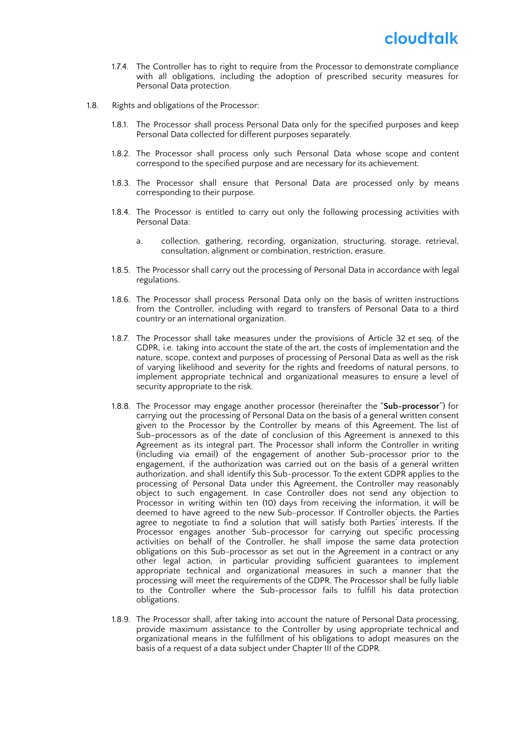- 1.7.4. The Controller has to right to require from the Processor to demonstrate compliance with all obligations, including the adoption of prescribed security measures for Personal Data protection.
- 1.8. Rights and obligations of the Processor:
	- 1.8.1. The Processor shall process Personal Data only for the specified purposes and keep Personal Data collected for different purposes separately.
	- 1.8.2. The Processor shall process only such Personal Data whose scope and content correspond to the specified purpose and are necessary for its achievement.
	- 1.8.3. The Processor shall ensure that Personal Data are processed only by means corresponding to their purpose.
	- 1.8.4. The Processor is entitled to carry out only the following processing activities with Personal Data:
		- a. collection, gathering, recording, organization, structuring, storage, retrieval, consultation, alignment or combination, restriction, erasure.
	- 1.8.5. The Processor shall carry out the processing of Personal Data in accordance with legal regulations.
	- 1.8.6. The Processor shall process Personal Data only on the basis of written instructions from the Controller, including with regard to transfers of Personal Data to a third country or an international organization.
	- 1.8.7. The Processor shall take measures under the provisions of Article 32 et seq. of the GDPR, i.e. taking into account the state of the art, the costs of implementation and the nature, scope, context and purposes of processing of Personal Data as well as the risk of varying likelihood and severity for the rights and freedoms of natural persons, to implement appropriate technical and organizational measures to ensure a level of security appropriate to the risk.
	- 1.8.8. The Processor may engage another processor (hereinafter the "**Sub-processor**") for carrying out the processing of Personal Data on the basis of a general written consent given to the Processor by the Controller by means of this Agreement. The list of Sub-processors as of the date of conclusion of this Agreement is annexed to this Agreement as its integral part. The Processor shall inform the Controller in writing (including via email) of the engagement of another Sub-processor prior to the engagement, if the authorization was carried out on the basis of a general written authorization, and shall identify this Sub-processor. To the extent GDPR applies to the processing of Personal Data under this Agreement, the Controller may reasonably object to such engagement. In case Controller does not send any objection to Processor in writing within ten (10) days from receiving the information, it will be deemed to have agreed to the new Sub-processor. If Controller objects, the Parties agree to negotiate to find a solution that will satisfy both Parties' interests. If the Processor engages another Sub-processor for carrying out specific processing activities on behalf of the Controller, he shall impose the same data protection obligations on this Sub-processor as set out in the Agreement in a contract or any other legal action, in particular providing sufficient guarantees to implement appropriate technical and organizational measures in such a manner that the processing will meet the requirements of the GDPR. The Processor shall be fully liable to the Controller where the Sub-processor fails to fulfill his data protection obligations.
	- 1.8.9. The Processor shall, after taking into account the nature of Personal Data processing, provide maximum assistance to the Controller by using appropriate technical and organizational means in the fulfillment of his obligations to adopt measures on the basis of a request of a data subject under Chapter III of the GDPR.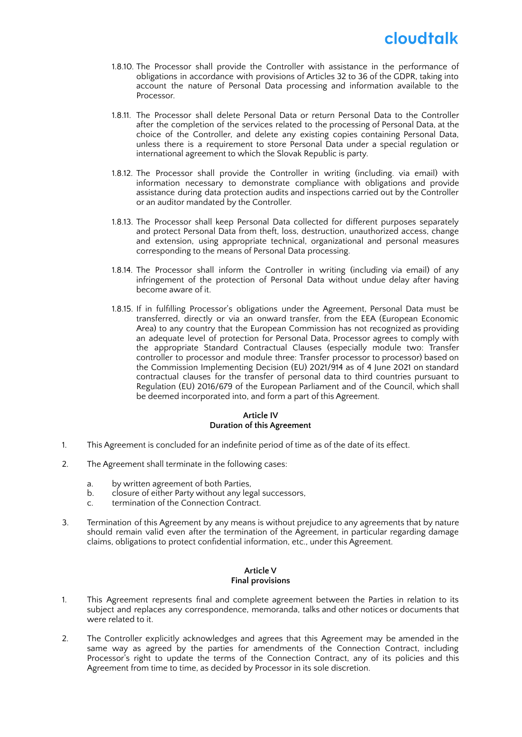- 1.8.10. The Processor shall provide the Controller with assistance in the performance of obligations in accordance with provisions of Articles 32 to 36 of the GDPR, taking into account the nature of Personal Data processing and information available to the Processor.
- 1.8.11. The Processor shall delete Personal Data or return Personal Data to the Controller after the completion of the services related to the processing of Personal Data, at the choice of the Controller, and delete any existing copies containing Personal Data, unless there is a requirement to store Personal Data under a special regulation or international agreement to which the Slovak Republic is party.
- 1.8.12. The Processor shall provide the Controller in writing (including. via email) with information necessary to demonstrate compliance with obligations and provide assistance during data protection audits and inspections carried out by the Controller or an auditor mandated by the Controller.
- 1.8.13. The Processor shall keep Personal Data collected for different purposes separately and protect Personal Data from theft, loss, destruction, unauthorized access, change and extension, using appropriate technical, organizational and personal measures corresponding to the means of Personal Data processing.
- 1.8.14. The Processor shall inform the Controller in writing (including via email) of any infringement of the protection of Personal Data without undue delay after having become aware of it.
- 1.8.15. If in fulfilling Processor's obligations under the Agreement, Personal Data must be transferred, directly or via an onward transfer, from the EEA (European Economic Area) to any country that the European Commission has not recognized as providing an adequate level of protection for Personal Data, Processor agrees to comply with the appropriate Standard Contractual Clauses (especially module two: Transfer controller to processor and module three: Transfer processor to processor) based on the Commission Implementing Decision (EU) 2021/914 as of 4 June 2021 on standard contractual clauses for the transfer of personal data to third countries pursuant to Regulation (EU) 2016/679 of the European Parliament and of the Council, which shall be deemed incorporated into, and form a part of this Agreement.

### **Article IV Duration of this Agreement**

- 1. This Agreement is concluded for an indefinite period of time as of the date of its effect.
- 2. The Agreement shall terminate in the following cases:
	- a. by written agreement of both Parties,
	- b. closure of either Party without any legal successors,
	- c. termination of the Connection Contract.
- 3. Termination of this Agreement by any means is without prejudice to any agreements that by nature should remain valid even after the termination of the Agreement, in particular regarding damage claims, obligations to protect confidential information, etc., under this Agreement.

### **Article V Final provisions**

- 1. This Agreement represents final and complete agreement between the Parties in relation to its subject and replaces any correspondence, memoranda, talks and other notices or documents that were related to it.
- 2. The Controller explicitly acknowledges and agrees that this Agreement may be amended in the same way as agreed by the parties for amendments of the Connection Contract, including Processor's right to update the terms of the Connection Contract, any of its policies and this Agreement from time to time, as decided by Processor in its sole discretion.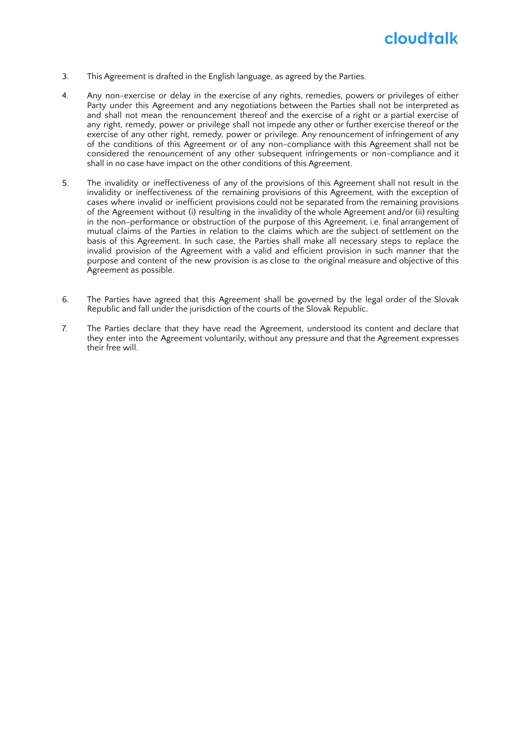## cloudtalk

- 3. This Agreement is drafted in the English language, as agreed by the Parties.
- 4. Any non-exercise or delay in the exercise of any rights, remedies, powers or privileges of either Party under this Agreement and any negotiations between the Parties shall not be interpreted as and shall not mean the renouncement thereof and the exercise of a right or a partial exercise of any right, remedy, power or privilege shall not impede any other or further exercise thereof or the exercise of any other right, remedy, power or privilege. Any renouncement of infringement of any of the conditions of this Agreement or of any non-compliance with this Agreement shall not be considered the renouncement of any other subsequent infringements or non-compliance and it shall in no case have impact on the other conditions of this Agreement.
- 5. The invalidity or ineffectiveness of any of the provisions of this Agreement shall not result in the invalidity or ineffectiveness of the remaining provisions of this Agreement, with the exception of cases where invalid or inefficient provisions could not be separated from the remaining provisions of the Agreement without (i) resulting in the invalidity of the whole Agreement and/or (ii) resulting in the non-performance or obstruction of the purpose of this Agreement, i.e. final arrangement of mutual claims of the Parties in relation to the claims which are the subject of settlement on the basis of this Agreement. In such case, the Parties shall make all necessary steps to replace the invalid provision of the Agreement with a valid and efficient provision in such manner that the purpose and content of the new provision is as close to the original measure and objective of this Agreement as possible.
- 6. The Parties have agreed that this Agreement shall be governed by the legal order of the Slovak Republic and fall under the jurisdiction of the courts of the Slovak Republic.
- 7. The Parties declare that they have read the Agreement, understood its content and declare that they enter into the Agreement voluntarily, without any pressure and that the Agreement expresses their free will.